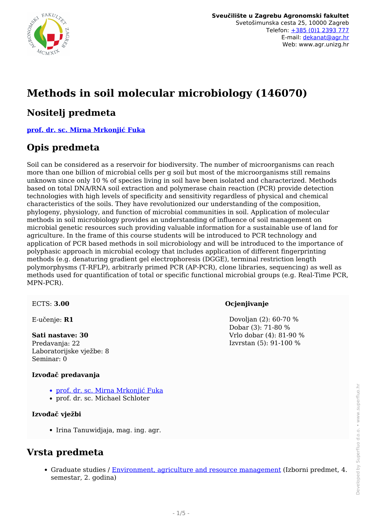

# **Methods in soil molecular microbiology (146070)**

### **Nositelj predmeta**

**[prof. dr. sc. Mirna Mrkonjić Fuka](/hr/member/116)**

### **Opis predmeta**

Soil can be considered as a reservoir for biodiversity. The number of microorganisms can reach more than one billion of microbial cells per g soil but most of the microorganisms still remains unknown since only 10 % of species living in soil have been isolated and characterized. Methods based on total DNA/RNA soil extraction and polymerase chain reaction (PCR) provide detection technologies with high levels of specificity and sensitivity regardless of physical and chemical characteristics of the soils. They have revolutionized our understanding of the composition, phylogeny, physiology, and function of microbial communities in soil. Application of molecular methods in soil microbiology provides an understanding of influence of soil management on microbial genetic resources such providing valuable information for a sustainable use of land for agriculture. In the frame of this course students will be introduced to PCR technology and application of PCR based methods in soil microbiology and will be introduced to the importance of polyphasic approach in microbial ecology that includes application of different fingerprinting methods (e.g. denaturing gradient gel electrophoresis (DGGE), terminal restriction length polymorphysms (T-RFLP), arbitrarly primed PCR (AP-PCR), clone libraries, sequencing) as well as methods used for quantification of total or specific functional microbial groups (e.g. Real-Time PCR, MPN-PCR).

ECTS: **3.00**

E-učenje: **R1**

#### **Sati nastave: 30**

Predavanja: 22 Laboratorijske vježbe: 8 Seminar: 0

#### **Izvođač predavanja**

- [prof. dr. sc. Mirna Mrkonjić Fuka](/hr/member/116)
- prof. dr. sc. Michael Schloter

#### **Izvođač vježbi**

• Irina Tanuwidjaja, mag. ing. agr.

### **Vrsta predmeta**

Graduate studies / [Environment, agriculture and resource management](/hr/study/en/3/Environment%2C+agriculture+and+resource+management) (Izborni predmet, 4. semestar, 2. godina)

#### **Ocjenjivanje**

 Dovoljan (2): 60-70 % Dobar (3): 71-80 % Vrlo dobar (4): 81-90 % Izvrstan (5): 91-100 %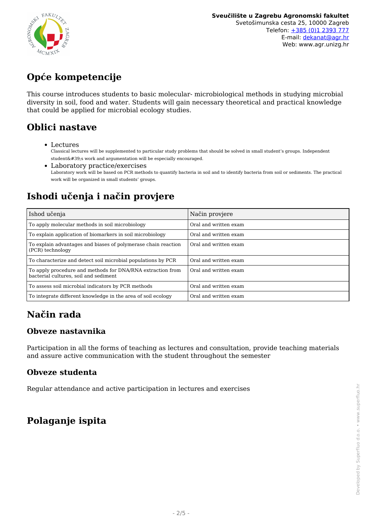

# **Opće kompetencije**

This course introduces students to basic molecular- microbiological methods in studying microbial diversity in soil, food and water. Students will gain necessary theoretical and practical knowledge that could be applied for microbial ecology studies.

# **Oblici nastave**

Lectures

Classical lectures will be supplemented to particular study problems that should be solved in small student's groups. Independent student's work and argumentation will be especially encouraged.

Laboratory practice/exercises Laboratory work will be based on PCR methods to quantify bacteria in soil and to identify bacteria from soil or sediments. The practical work will be organized in small students' groups.

# **Ishodi učenja i način provjere**

| Ishod učenja                                                                                        | Način provjere        |
|-----------------------------------------------------------------------------------------------------|-----------------------|
| To apply molecular methods in soil microbiology                                                     | Oral and written exam |
| To explain application of biomarkers in soil microbiology                                           | Oral and written exam |
| To explain advantages and biases of polymerase chain reaction<br>(PCR) technology                   | Oral and written exam |
| To characterize and detect soil microbial populations by PCR                                        | Oral and written exam |
| To apply procedure and methods for DNA/RNA extraction from<br>bacterial cultures, soil and sediment | Oral and written exam |
| To assess soil microbial indicators by PCR methods                                                  | Oral and written exam |
| To integrate different knowledge in the area of soil ecology                                        | Oral and written exam |

# **Način rada**

### **Obveze nastavnika**

Participation in all the forms of teaching as lectures and consultation, provide teaching materials and assure active communication with the student throughout the semester

#### **Obveze studenta**

Regular attendance and active participation in lectures and exercises

# **Polaganje ispita**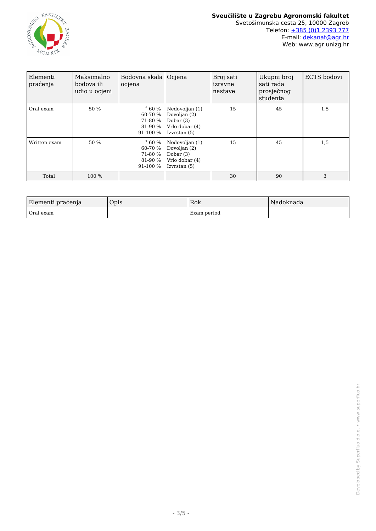

| Elementi<br>praćenja | Maksimalno<br>bodova ili<br>udio u ocjeni | Bodovna skala  <br>ocjena                                   | Ocjena                                                                            | Broj sati<br>izravne<br>nastave | Ukupni broj<br>sati rada<br>prosječnog<br>studenta | ECTS bodovi |
|----------------------|-------------------------------------------|-------------------------------------------------------------|-----------------------------------------------------------------------------------|---------------------------------|----------------------------------------------------|-------------|
| Oral exam            | 50 %                                      | $\degree$ 60 %<br>60-70 %<br>71-80 %<br>81-90 %<br>91-100 % | Nedovoljan (1)<br>Dovoljan (2)<br>Dobar $(3)$<br>Vrlo dobar (4)<br>Izvrstan (5)   | 15                              | 45                                                 | 1.5         |
| Written exam         | 50 %                                      | $\degree$ 60 %<br>60-70 %<br>71-80 %<br>81-90 %<br>91-100 % | Nedovoljan (1)<br>Dovoljan (2)<br>Dobar $(3)$<br>Vrlo dobar (4)<br>Izvrstan $(5)$ | 15                              | 45                                                 | 1,5         |
| Total                | 100 %                                     |                                                             |                                                                                   | 30                              | 90                                                 | 3           |

| Elementi praćenja | Opis | Rok         | l Nadoknada |
|-------------------|------|-------------|-------------|
| Oral exam         |      | Exam period |             |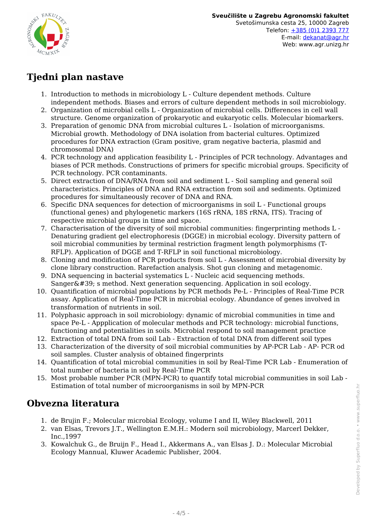

## **Tjedni plan nastave**

- 1. Introduction to methods in microbiology L Culture dependent methods. Culture independent methods. Biases and errors of culture dependent methods in soil microbiology.
- 2. Organization of microbial cells L Organization of microbial cells. Differences in cell wall structure. Genome organization of prokaryotic and eukaryotic cells. Molecular biomarkers.
- 3. Preparation of genomic DNA from microbial cultures L Isolation of microorganisms. Microbial growth. Methodology of DNA isolation from bacterial cultures. Optimized procedures for DNA extraction (Gram positive, gram negative bacteria, plasmid and chromosomal DNA)
- 4. PCR technology and application feasibility L Principles of PCR technology. Advantages and biases of PCR methods. Constructions of primers for specific microbial groups. Specificity of PCR technology. PCR contaminants.
- 5. Direct extraction of DNA/RNA from soil and sediment L Soil sampling and general soil characteristics. Principles of DNA and RNA extraction from soil and sediments. Optimized procedures for simultaneously recover of DNA and RNA.
- 6. Specific DNA sequences for detection of microorganisms in soil L Functional groups (functional genes) and phylogenetic markers (16S rRNA, 18S rRNA, ITS). Tracing of respective microbial groups in time and space.
- 7. Characterisation of the diversity of soil microbial communities: fingerprinting methods L Denaturing gradient gel electrophoresis (DGGE) in microbial ecology. Diversity pattern of soil microbial communities by terminal restriction fragment length polymorphisms (T-RFLP). Application of DGGE and T-RFLP in soil functional microbiology.
- 8. Cloning and modification of PCR products from soil L Assessment of microbial diversity by clone library construction. Rarefaction analysis. Shot gun cloning and metagenomic.
- 9. DNA sequencing in bacterial systematics L Nucleic acid sequencing methods. Sanger $&\#39$ ; s method. Next generation sequencing. Application in soil ecology.
- 10. Quantification of microbial populations by PCR methods Pe-L Principles of Real-Time PCR assay. Application of Real-Time PCR in microbial ecology. Abundance of genes involved in transformation of nutrients in soil.
- 11. Polyphasic approach in soil microbiology: dynamic of microbial communities in time and space Pe-L - Appplication of molecular methods and PCR technology: microbial functions, functioning and potentialities in soils. Microbial respond to soil management practice
- 12. Extraction of total DNA from soil Lab Extraction of total DNA from different soil types
- 13. Characterization of the diversity of soil microbial communities by AP-PCR Lab AP- PCR od soil samples. Cluster analysis of obtained fingerprints
- 14. Quantification of total microbial communities in soil by Real-Time PCR Lab Enumeration of total number of bacteria in soil by Real-Time PCR
- 15. Most probable number PCR (MPN-PCR) to quantify total microbial communities in soil Lab Estimation of total number of microorganisms in soil by MPN-PCR

## **Obvezna literatura**

- 1. de Brujin F.; Molecular microbial Ecology, volume I and II, Wiley Blackwell, 2011
- 2. van Elsas, Trevors J.T., Wellington E.M.H.: Modern soil microbiology, Marcerl Dekker, Inc.,1997
- 3. Kowalchuk G., de Bruijn F., Head I., Akkermans A., van Elsas J. D.: Molecular Microbial Ecology Mannual, Kluwer Academic Publisher, 2004.